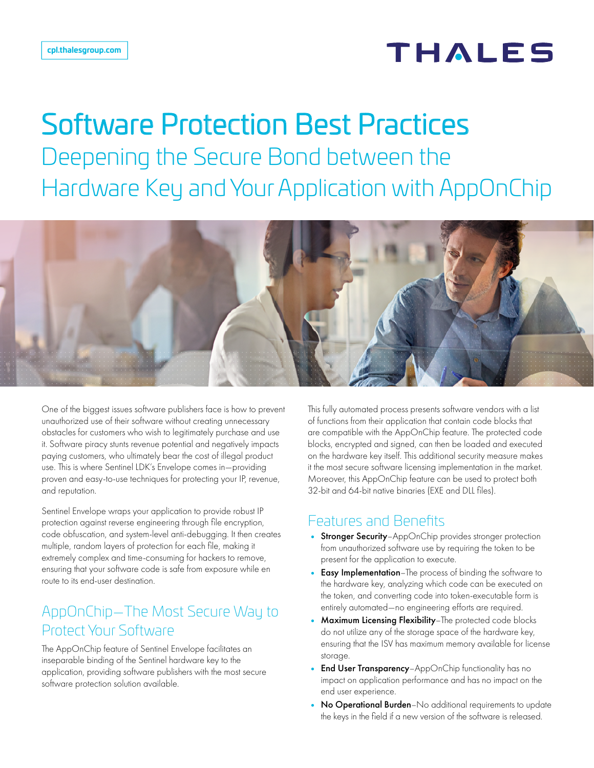## **THALES**

# Software Protection Best Practices

Deepening the Secure Bond between the Hardware Key and Your Application with AppOnChip



One of the biggest issues software publishers face is how to prevent unauthorized use of their software without creating unnecessary obstacles for customers who wish to legitimately purchase and use it. Software piracy stunts revenue potential and negatively impacts paying customers, who ultimately bear the cost of illegal product use. This is where Sentinel LDK's Envelope comes in—providing proven and easy-to-use techniques for protecting your IP, revenue, and reputation.

Sentinel Envelope wraps your application to provide robust IP protection against reverse engineering through file encryption, code obfuscation, and system-level anti-debugging. It then creates multiple, random layers of protection for each file, making it extremely complex and time-consuming for hackers to remove, ensuring that your software code is safe from exposure while en route to its end-user destination.

#### AppOnChip—The Most Secure Way to Protect Your Software

The AppOnChip feature of Sentinel Envelope facilitates an inseparable binding of the Sentinel hardware key to the application, providing software publishers with the most secure software protection solution available.

This fully automated process presents software vendors with a list of functions from their application that contain code blocks that are compatible with the AppOnChip feature. The protected code blocks, encrypted and signed, can then be loaded and executed on the hardware key itself. This additional security measure makes it the most secure software licensing implementation in the market. Moreover, this AppOnChip feature can be used to protect both 32-bit and 64-bit native binaries (EXE and DLL files).

#### Features and Benefits

- Stronger Security-AppOnChip provides stronger protection from unauthorized software use by requiring the token to be present for the application to execute.
- Easy Implementation–The process of binding the software to the hardware key, analyzing which code can be executed on the token, and converting code into token-executable form is entirely automated—no engineering efforts are required.
- Maximum Licensing Flexibility–The protected code blocks do not utilize any of the storage space of the hardware key, ensuring that the ISV has maximum memory available for license storage.
- End User Transparency-AppOnChip functionality has no impact on application performance and has no impact on the end user experience.
- No Operational Burden-No additional requirements to update the keys in the field if a new version of the software is released.